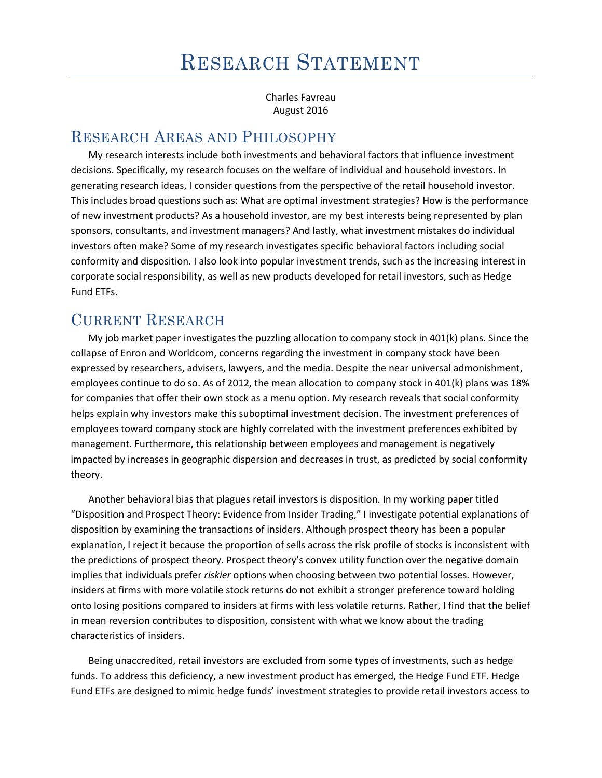Charles Favreau August 2016

## RESEARCH AREAS AND PHILOSOPHY

My research interests include both investments and behavioral factors that influence investment decisions. Specifically, my research focuses on the welfare of individual and household investors. In generating research ideas, I consider questions from the perspective of the retail household investor. This includes broad questions such as: What are optimal investment strategies? How is the performance of new investment products? As a household investor, are my best interests being represented by plan sponsors, consultants, and investment managers? And lastly, what investment mistakes do individual investors often make? Some of my research investigates specific behavioral factors including social conformity and disposition. I also look into popular investment trends, such as the increasing interest in corporate social responsibility, as well as new products developed for retail investors, such as Hedge Fund ETFs.

## CURRENT RESEARCH

My job market paper investigates the puzzling allocation to company stock in 401(k) plans. Since the collapse of Enron and Worldcom, concerns regarding the investment in company stock have been expressed by researchers, advisers, lawyers, and the media. Despite the near universal admonishment, employees continue to do so. As of 2012, the mean allocation to company stock in 401(k) plans was 18% for companies that offer their own stock as a menu option. My research reveals that social conformity helps explain why investors make this suboptimal investment decision. The investment preferences of employees toward company stock are highly correlated with the investment preferences exhibited by management. Furthermore, this relationship between employees and management is negatively impacted by increases in geographic dispersion and decreases in trust, as predicted by social conformity theory.

Another behavioral bias that plagues retail investors is disposition. In my working paper titled "Disposition and Prospect Theory: Evidence from Insider Trading," I investigate potential explanations of disposition by examining the transactions of insiders. Although prospect theory has been a popular explanation, I reject it because the proportion of sells across the risk profile of stocks is inconsistent with the predictions of prospect theory. Prospect theory's convex utility function over the negative domain implies that individuals prefer *riskier* options when choosing between two potential losses. However, insiders at firms with more volatile stock returns do not exhibit a stronger preference toward holding onto losing positions compared to insiders at firms with less volatile returns. Rather, I find that the belief in mean reversion contributes to disposition, consistent with what we know about the trading characteristics of insiders.

Being unaccredited, retail investors are excluded from some types of investments, such as hedge funds. To address this deficiency, a new investment product has emerged, the Hedge Fund ETF. Hedge Fund ETFs are designed to mimic hedge funds' investment strategies to provide retail investors access to